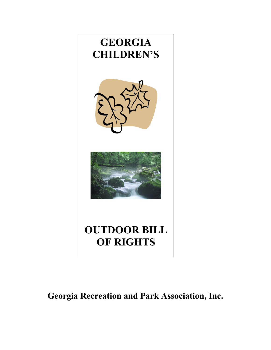

# **Georgia Recreation and Park Association, Inc.**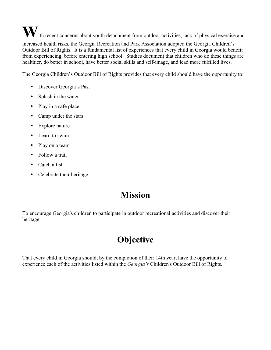W ith recent concerns about youth detachment from outdoor activities, lack of physical exercise and increased health risks, the Georgia Recreation and Park Association adopted the Georgia Children's Outdoor Bill of Rights. It is a fundamental list of experiences that every child in Georgia would benefit from experiencing, before entering high school. Studies document that children who do these things are healthier, do better in school, have better social skills and self-image, and lead more fulfilled lives.

The Georgia Children's Outdoor Bill of Rights provides that every child should have the opportunity to:

- Discover Georgia's Past
- Splash in the water
- Play in a safe place
- Camp under the stars
- Explore nature
- Learn to swim
- Play on a team
- Follow a trail
- Catch a fish
- Celebrate their heritage

## **Mission**

To encourage Georgia's children to participate in outdoor recreational activities and discover their heritage.

# **Objective**

That every child in Georgia should, by the completion of their 14th year, have the opportunity to experience each of the activities listed within the *Georgia's* Children's Outdoor Bill of Rights*.*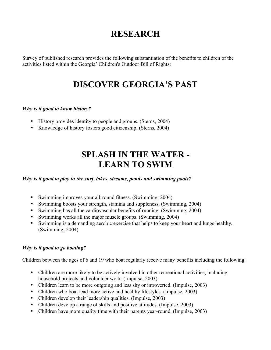### **RESEARCH**

Survey of published research provides the following substantiation of the benefits to children of the activities listed within the Georgia' Children's Outdoor Bill of Rights:

### **DISCOVER GEORGIA'S PAST**

#### *Why is it good to know history?*

- History provides identity to people and groups. (Sterns, 2004)
- Knowledge of history fosters good citizenship. (Sterns, 2004)

### **SPLASH IN THE WATER - LEARN TO SWIM**

*Why is it good to play in the surf, lakes, streams, ponds and swimming pools?*

- Swimming improves your all-round fitness. (Swimming, 2004)
- Swimming boosts your strength, stamina and suppleness. (Swimming, 2004)
- Swimming has all the cardiovascular benefits of running. (Swimming, 2004)
- Swimming works all the major muscle groups. (Swimming, 2004)
- Swimming is a demanding aerobic exercise that helps to keep your heart and lungs healthy. (Swimming, 2004)

#### *Why is it good to go boating?*

Children between the ages of 6 and 19 who boat regularly receive many benefits including the following:

- Children are more likely to be actively involved in other recreational activities, including household projects and volunteer work. (Impulse, 2003)
- Children learn to be more outgoing and less shy or introverted. (Impulse, 2003)
- Children who boat lead more active and healthy lifestyles. (Impulse, 2003)
- Children develop their leadership qualities. (Impulse, 2003)
- Children develop a range of skills and positive attitudes. (Impulse, 2003)
- Children have more quality time with their parents year-round. (Impulse, 2003)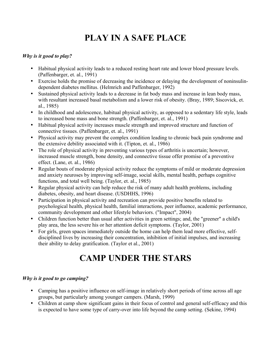# **PLAY IN A SAFE PLACE**

#### *Why is it good to play?*

- Habitual physical activity leads to a reduced resting heart rate and lower blood pressure levels. (Paffenbarger, et. al., 1991)
- Exercise holds the promise of decreasing the incidence or delaying the development of noninsulindependent diabetes mellitus. (Helmrich and Paffenbarger, 1992)
- Sustained physical activity leads to a decrease in fat body mass and increase in lean body mass, with resultant increased basal metabolism and a lower risk of obesity. (Bray, 1989; Siscovick, et. al., 1985)
- In childhood and adolescence, habitual physical activity, as opposed to a sedentary life style, leads to increased bone mass and bone strength. (Paffenbarger, et. al., 1991)
- Habitual physical activity increases muscle strength and improved structure and function of connective tissues. (Paffenbarger, et. al., 1991)
- Physical activity may prevent the complex condition leading to chronic back pain syndrome and the extensive debility associated with it. (Tipton, et. al., 1986)
- The role of physical activity in preventing various types of arthritis is uncertain; however, increased muscle strength, bone density, and connective tissue offer promise of a preventive effect. (Lane, et. al., 1986)
- Regular bouts of moderate physical activity reduce the symptoms of mild or moderate depression and anxiety neuroses by improving self-image, social skills, mental health, perhaps cognitive functions, and total well being. (Taylor, et. al., 1985)
- Regular physical activity can help reduce the risk of many adult health problems, including diabetes, obesity, and heart disease. (USDHHS, 1996)
- Participation in physical activity and recreation can provide positive benefits related to psychological health, physical health, familial interactions, peer influence, academic performance, community development and other lifestyle behaviors. ("Impact", 2004)
- Children function better than usual after activities in green settings; and, the "greener" a child's play area, the less severe his or her attention deficit symptoms. (Taylor, 2001)
- For girls, green spaces immediately outside the home can help them lead more effective, selfdisciplined lives by increasing their concentration, inhibition of initial impulses, and increasing their ability to delay gratification. (Taylor et al., 2001)

# **CAMP UNDER THE STARS**

#### *Why is it good to go camping?*

- Camping has a positive influence on self-image in relatively short periods of time across all age groups, but particularly among younger campers. (Marsh, 1999)
- Children at camp show significant gains in their focus of control and general self-efficacy and this is expected to have some type of carry-over into life beyond the camp setting. (Sekine, 1994)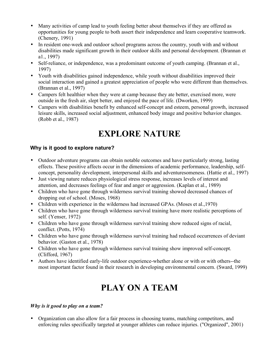- Many activities of camp lead to youth feeling better about themselves if they are offered as opportunities for young people to both assert their independence and learn cooperative teamwork. (Chenery, 1991)
- In resident one-week and outdoor school programs across the country, youth with and without disabilities made significant growth in their outdoor skills and personal development. (Brannan et a1., 1997)
- Self-reliance, or independence, was a predominant outcome of youth camping. (Brannan et al., 1997)
- Youth with disabilities gained independence, while youth without disabilities improved their social interaction and gained a greatest appreciation of people who were different than themselves. (Brannan et al., 1997)
- Campers felt healthier when they were at camp because they ate better, exercised more, were outside in the fresh air, slept better, and enjoyed the pace of life. (Dworken, 1999)
- Campers with disabilities benefit by enhanced self-concept and esteem, personal growth, increased leisure skills, increased social adjustment, enhanced body image and positive behavior changes. (Robb et al., 1987)

# **EXPLORE NATURE**

#### **Why is it good to explore nature?**

- Outdoor adventure programs can obtain notable outcomes and have particularly strong, lasting effects. These positive affects occur in the dimensions of academic performance, leadership, selfconcept, personality development, interpersonal skills and adventuresomeness. (Hattie et al., 1997)
- Just viewing nature reduces physiological stress response, increases levels of interest and attention, and decreases feelings of fear and anger or aggression. (Kaplan et al., 1989)
- Children who have gone through wilderness survival training showed decreased chances of dropping out of school. (Moses, 1968)
- Children with experience in the wilderness had increased GPAs. (Moses et al., 1970)
- Children who have gone through wilderness survival training have more realistic perceptions of self. (Yenser, 1972)
- Children who have gone through wilderness survival training show reduced signs of racial, conflict. (Potts, 1974)
- Children who have gone through wilderness survival training had reduced occurrences of deviant behavior. (Gaston et al., 1978)
- Children who have gone through wilderness survival training show improved self-concept. (Clifford, 1967)
- Authors have identified early-life outdoor experience-whether alone or with or with others--the most important factor found in their research in developing environmental concern. (Sward, 1999)

# **PLAY ON A TEAM**

#### *Why is it good to play on a team?*

• Organization can also allow for a fair process in choosing teams, matching competitors, and enforcing rules specifically targeted at younger athletes can reduce injuries. ("Organized", 2001)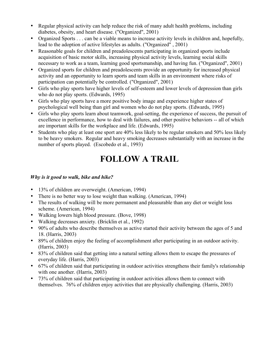- Regular physical activity can help reduce the risk of many adult health problems, including diabetes, obesity, and heart disease. ("Organized", 2001)
- Organized Sports . . . can be a viable means to increase activity levels in children and, hopefully, lead to the adoption of active lifestyles as adults. ("Organized" , 2001)
- Reasonable goals for children and preadolescents participating in organized sports include acquisition of basic motor skills, increasing physical activity levels, learning social skills necessary to work as a team, learning good sportsmanship, and having fun. ("Organized", 2001)
- Organized sports for children and preadolescents provide an opportunity for increased physical activity and an opportunity to learn sports and team skills in an environment where risks of participation can potentially be controlled. ("Organized", 2001)
- Girls who play sports have higher levels of self-esteem and lower levels of depression than girls who do not play sports. (Edwards, 1995)
- Girls who play sports have a more positive body image and experience higher states of psychological well being than girl and women who do not play sports. (Edwards, 1995)
- Girls who play sports learn about teamwork, goal-setting, the experience of success, the pursuit of excellence in performance, how to deal with failures, and other positive behaviors -- all of which are important skills for the workplace and life. (Edwards, 1995)
- Students who play at least one sport are 40% less likely to be regular smokers and 50% less likely to be heavy smokers. Regular and heavy smoking decreases substantially with an increase in the number of sports played. (Escobedo et al., 1993)

## **FOLLOW A TRAIL**

#### *Why is it good to walk, bike and hike?*

- 13% of children are overweight. (American, 1994)
- There is no better way to lose weight than walking. (American, 1994)
- The results of walking will be more permanent and pleasurable than any diet or weight loss scheme. (American, 1994)
- Walking lowers high blood pressure. (Bove, 1998)
- Walking decreases anxiety. (Bricklin et al., 1992)
- 90% of adults who describe themselves as active started their activity between the ages of 5 and 18. (Harris, 2003)
- 89% of children enjoy the feeling of accomplishment after participating in an outdoor activity. (Harris, 2003)
- 83% of children said that getting into a natural setting allows them to escape the pressures of everyday life. (Harris, 2003)
- 67% of children said that participating in outdoor activities strengthens their family's relationship with one another. (Harris, 2003)
- 73% of children said that participating in outdoor activities allows them to connect with themselves. 76% of children enjoy activities that are physically challenging. (Harris, 2003)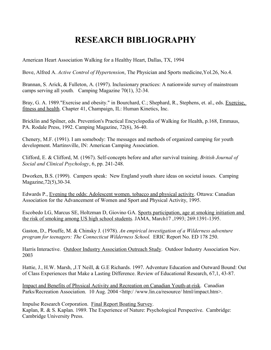## **RESEARCH BIBLIOGRAPHY**

American Heart Association Walking for a Healthy Heart, Dallas, TX, 1994

Bove, Alfred A. *Active Control of Hypertension*, The Physician and Sports medicine,Yol.26, No.4.

Brannan, S. Arick, & Fulleton, A. (1997). Inclusionary practices: A nationwide survey of mainstream camps serving all youth. Camping Magazine 70(1), 32-34.

Bray, G. A. 1989."Exercise and obesity." in Bourchard, C.; Shephard, R., Stephens, et. al., eds. Exercise, fitness and health. Chapter 41, Champaign, IL: Human Kinetics, Inc.

Bricklin and Spilner, eds. Prevention's Practical Encyclopedia of Walking for Health, p.168, Emmaus, PA. Rodale Press, 1992. Camping Magazine, 72(6), 36-40.

Chenery, M.F. (1991). I am somebody: The messages and methods of organized camping for youth development. Martinsville, IN: American Camping Association.

Clifford, E. & Clifford, M. (1967). Self-concepts before and after survival training. *British Journal of Social and Clinical Psychology*, 6, pp. 241-248.

Dworken, B.S. (1999). Campers speak: New England youth share ideas on societal issues. Camping Magazine,72(5),30-34.

Edwards P., Evening the odds: Adolescent women. tobacco and physical activity. Ottawa: Canadian Association for the Advancement of Women and Sport and Physical Activity, 1995.

Escobedo LG, Marcus SE, Holtzman D, Giovino GA. Sports participation, age at smoking initiation and the risk of smoking among US high school students. JAMA, March17 ,1993; 269:1391-1395.

Gaston, D., Plouffe, M. & Chinsky J. (1978). *An empirical investigation of a Wilderness adventure program for teenagers: The Connecticut Wilderness School.* ERIC Report No. ED 178 250.

Harris Interactive. Outdoor Industry Association Outreach Study. Outdoor Industry Association Nov. 2003

Hattie, J., H.W. Marsh, ,J.T Neill, & G.E Richards. 1997. Adventure Education and Outward Bound: Out of Class Experiences that Make a Lasting Difference. Review of Educational Research, 67,1, 43-87.

Impact and Benefits of Physical Activity and Recreation on Canadian Youth-at-risk. Canadian Parks/Recreation Association. 10 Aug. 2004 <http://www.lin.ca/resource/ html/impact.htm>.

Impulse Research Corporation. Final Report Boating Survey. Kaplan, R. & S. Kaplan. 1989. The Experience of Nature: Psychological Perspective. Cambridge: Cambridge University Press.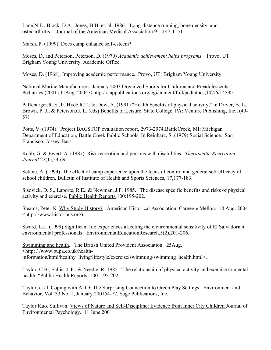Lane,N.E., Block, D.A., Jones, H.H, et. al. 1986. "Long-distance running, bone density, and osteoarthritis.": Journal of the American Medical Association 9: 1147-1151.

Marsh, P. (1999). Does camp enhance self-esteem?

Moses, D, and Peterson, Peterson, D. (1970) *Academic achievement helps programs.* Provo, UT: Brigham Young University, Academic Office.

Moses, D. (1968). Improving academic performance. Provo, UT: Brigham Young University.

National Marine Manufacturers. January 2003.Organized Sports for Children and Preadolescents." Pediatrics (2001).11Aug. 2004 < http:/ /aappublications.org/cgi/content/full/pedtatncs;107/6/1459>.

Paffenarger,R. S.,Jr.,Hyde.R.T., & Dow, A. (1991) "Health benefits of physical activity," in Driver, B. L., Brown, P. J., & Peterson,G. L. (eds) Benefits of Leisure. State College, PA: Venture Publishing, Inc., (49- 57).

Potts, V. (1974). Project BACSTOP evaluation report, 2973-2974.BattleCreek, MI: Michigan Department of Education, Battle Creek Public Schools. In Reinharz, S. (1979).Social Science. San Francisco: Jossey-Bass

Robb, G. & Ewert, A. (1987). Risk recreation and persons with disabilities. *Therapeutic Recreation Journal* 22(1),53-69.

Sekine, A. (1994). The effect of camp experience upon the locus of control and general self-efficacy of school children. Bulletin of Institute of Health and Sports Sciences, 17,177-183.

Sisovick, D. S., Laporte, R.E., & Newman, J.F. 1985. "The disease specific benefits and risks of physical activity and exercise. Public Health Reports.100:195-202.

Steams, Peter N. Why Study History? American Historical Association. Carnegie Mellon. 18 Aug. 2004 <http:/ /www.historians.org).

Sward, L.L. (1999).Significant life experiences affecting the environmental sensitivity of El Salvadorian environmental professionals. EnvironmentalEducationResearch,5(2),201-206.

Swimming and health. The British United Provident Association. 25Aug. <http: / /www.bupa.co.uk/healthinformation/html/healthy\_living/lifestyle/exercise/swimming/swimming\_health.html>.

Taylor, C.B., Sallis, J. F., & Needle, R. 1985. "The relationship of physical activity and exercise to mental health. "Public Health Reports. 100: 195-202.

Taylor, et al. Coping with ADD: The Surprising Connection to Green Play Settings. Environment and Behavior, Vol. 33 No. 1, January 200154-77, Sage Publications, Inc.

Taylor Kuo, Sullivan. Views of Nature and Self-Discipline: Evidence from Inner City Children Journal of Environmental Psychology. 11 June 2001.